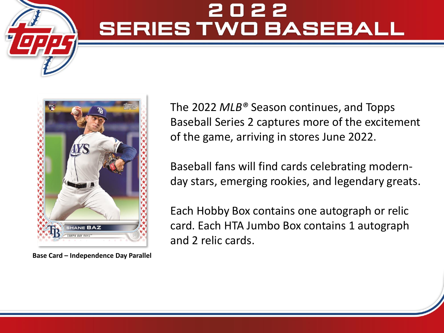



**Base Card – Independence Day Parallel**

The 2022 *MLB®* Season continues, and Topps Baseball Series 2 captures more of the excitement of the game, arriving in stores June 2022.

Baseball fans will find cards celebrating modernday stars, emerging rookies, and legendary greats.

Each Hobby Box contains one autograph or relic card. Each HTA Jumbo Box contains 1 autograph and 2 relic cards.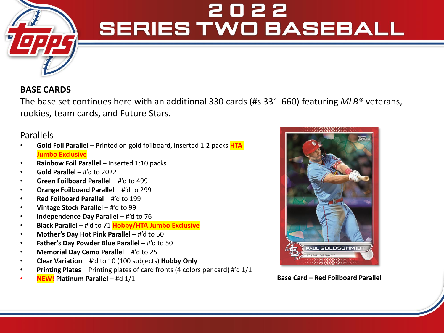

#### **BASE CARDS**

The base set continues here with an additional 330 cards (#s 331-660) featuring *MLB®* veterans, rookies, team cards, and Future Stars.

#### Parallels

- **Gold Foil Parallel**  Printed on gold foilboard, Inserted 1:2 packs **HTA Jumbo Exclusive**
- **Rainbow Foil Parallel**  Inserted 1:10 packs
- **Gold Parallel**  #'d to 2022
- **Green Foilboard Parallel** #'d to 499
- **Orange Foilboard Parallel** #'d to 299
- **Red Foilboard Parallel** #'d to 199
- **Vintage Stock Parallel**  #'d to 99
- **Independence Day Parallel #'d to 76**
- **Black Parallel**  #'d to 71 **Hobby/HTA Jumbo Exclusive**
- **Mother's Day Hot Pink Parallel**  #'d to 50
- **Father's Day Powder Blue Parallel #'d to 50**
- **Memorial Day Camo Parallel #'d to 25**
- **Clear Variation**  #'d to 10 (100 subjects) **Hobby Only**
- **Printing Plates**  Printing plates of card fronts (4 colors per card) #'d 1/1
- **NEW! Platinum Parallel –** #d 1/1



**Base Card – Red Foilboard Parallel**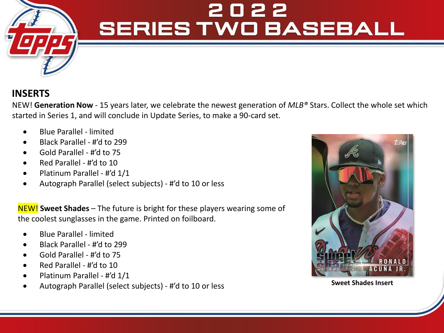

### **INSERTS**

NEW! **Generation Now** - 15 years later, we celebrate the newest generation of *MLB®* Stars. Collect the whole set which started in Series 1, and will conclude in Update Series, to make a 90-card set.

- Blue Parallel limited
- Black Parallel #'d to 299
- Gold Parallel #'d to 75
- Red Parallel #'d to 10
- Platinum Parallel #'d 1/1
- Autograph Parallel (select subjects) #'d to 10 or less

NEW! **Sweet Shades** – The future is bright for these players wearing some of the coolest sunglasses in the game. Printed on foilboard.

- Blue Parallel limited
- Black Parallel #'d to 299
- Gold Parallel #'d to 75
- Red Parallel #'d to 10
- Platinum Parallel #'d 1/1
- Autograph Parallel (select subjects) #'d to 10 or less **Sweet Shades Insert**

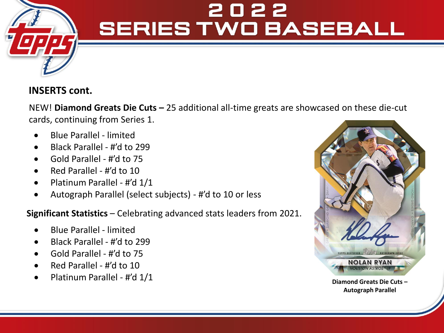

### **INSERTS cont.**

NEW! **Diamond Greats Die Cuts –** 25 additional all-time greats are showcased on these die-cut cards, continuing from Series 1.

- Blue Parallel limited
- Black Parallel #'d to 299
- Gold Parallel #'d to 75
- Red Parallel #'d to 10
- Platinum Parallel #'d 1/1
- Autograph Parallel (select subjects) #'d to 10 or less

**Significant Statistics** – Celebrating advanced stats leaders from 2021.

- Blue Parallel limited
- Black Parallel #'d to 299
- Gold Parallel #'d to 75
- Red Parallel #'d to 10
- Platinum Parallel #'d 1/1



**Diamond Greats Die Cuts – Autograph Parallel**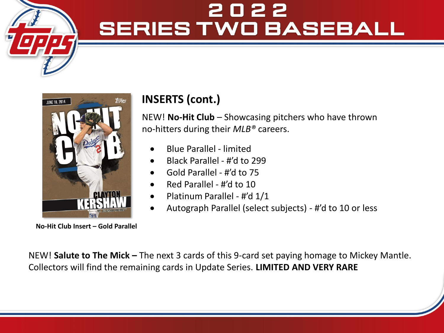



#### **No-Hit Club Insert – Gold Parallel**

### **INSERTS (cont.)**

NEW! **No-Hit Club** – Showcasing pitchers who have thrown no-hitters during their *MLB®* careers.

- Blue Parallel limited
- Black Parallel #'d to 299
- Gold Parallel #'d to 75
- Red Parallel #'d to 10
- Platinum Parallel #'d 1/1
- Autograph Parallel (select subjects) #'d to 10 or less

NEW! **Salute to The Mick –** The next 3 cards of this 9-card set paying homage to Mickey Mantle. Collectors will find the remaining cards in Update Series. **LIMITED AND VERY RARE**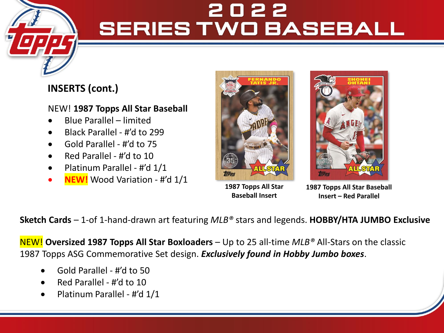

### **INSERTS (cont.)**

NEW! **1987 Topps All Star Baseball**

- Blue Parallel limited
- Black Parallel #'d to 299
- Gold Parallel #'d to 75
- Red Parallel #'d to 10
- Platinum Parallel #'d 1/1
- **NEW!** Wood Variation #'d 1/1



**1987 Topps All Star Baseball Insert** 



**1987 Topps All Star Baseball Insert – Red Parallel**

**Sketch Cards** – 1-of 1-hand-drawn art featuring *MLB®* stars and legends. **HOBBY/HTA JUMBO Exclusive**

NEW! **Oversized 1987 Topps All Star Boxloaders** – Up to 25 all-time *MLB®* All-Stars on the classic 1987 Topps ASG Commemorative Set design. *Exclusively found in Hobby Jumbo boxes*.

- Gold Parallel #'d to 50
- Red Parallel #'d to 10
- Platinum Parallel #'d 1/1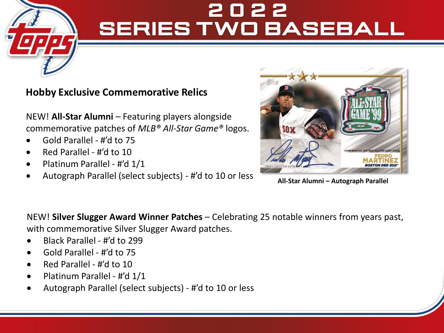

### **Hobby Exclusive Commemorative Relics**

NEW! **All-Star Alumni** – Featuring players alongside commemorative patches of *MLB® All-Star Game®* logos.

- Gold Parallel #'d to 75
- Red Parallel #'d to 10
- Platinum Parallel #'d 1/1
- Autograph Parallel (select subjects) #'d to 10 or less **All-Star Alumni – Autograph Parallel**



NEW! **Silver Slugger Award Winner Patches** – Celebrating 25 notable winners from years past, with commemorative Silver Slugger Award patches.

- Black Parallel #'d to 299
- Gold Parallel #'d to 75
- Red Parallel #'d to 10
- Platinum Parallel #'d 1/1
- Autograph Parallel (select subjects) #'d to 10 or less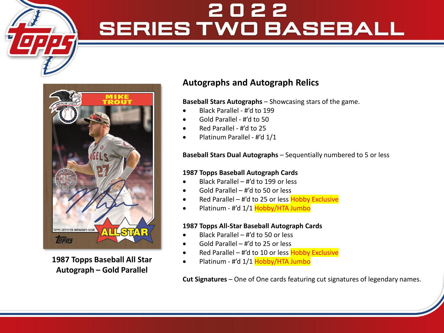



**1987 Topps Baseball All Star Autograph – Gold Parallel**

### **Autographs and Autograph Relics**

**Baseball Stars Autographs** – Showcasing stars of the game.

- Black Parallel #'d to 199
- Gold Parallel #'d to 50
- Red Parallel #'d to 25
- Platinum Parallel #'d 1/1

**Baseball Stars Dual Autographs** – Sequentially numbered to 5 or less

#### **1987 Topps Baseball Autograph Cards**

- Black Parallel #'d to 199 or less
- $\bullet$  Gold Parallel #'d to 50 or less
- Red Parallel #'d to 25 or less **Hobby Exclusive**
- Platinum #'d 1/1 Hobby/HTA Jumbo

#### **1987 Topps All-Star Baseball Autograph Cards**

- Black Parallel #'d to 50 or less
- Gold Parallel #'d to 25 or less
- Red Parallel #'d to 10 or less **Hobby Exclusive**
- Platinum #'d 1/1 Hobby/HTA Jumbo

**Cut Signatures** – One of One cards featuring cut signatures of legendary names.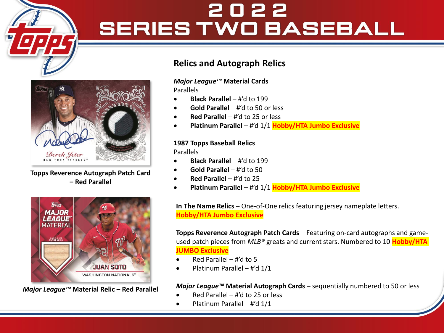

**Topps Reverence Autograph Patch Card – Red Parallel**



*Major League™* **Material Relic – Red Parallel**

### **Relics and Autograph Relics**

#### *Major League™* **Material Cards** Parallels

- **Black Parallel**  #'d to 199
- **Gold Parallel**  #'d to 50 or less
- **Red Parallel**  #'d to 25 or less
- **Platinum Parallel**  #'d 1/1 **Hobby/HTA Jumbo Exclusive**

#### **1987 Topps Baseball Relics**

Parallels

- **Black Parallel**  #'d to 199
- **Gold Parallel**  #'d to 50
- **Red Parallel**  $-$  $\sharp$ **'d to 25**
- **Platinum Parallel**  #'d 1/1 **Hobby/HTA Jumbo Exclusive**

**In The Name Relics** – One-of-One relics featuring jersey nameplate letters. **Hobby/HTA Jumbo Exclusive**

**Topps Reverence Autograph Patch Cards** – Featuring on-card autographs and gameused patch pieces from *MLB®* greats and current stars. Numbered to 10 **Hobby/HTA JUMBO Exclusive**

- Red Parallel  $\sharp$ 'd to 5
- Platinum Parallel #'d 1/1

*Major League™* **Material Autograph Cards –** sequentially numbered to 50 or less

- Red Parallel  $#$ 'd to 25 or less
- Platinum Parallel #'d 1/1